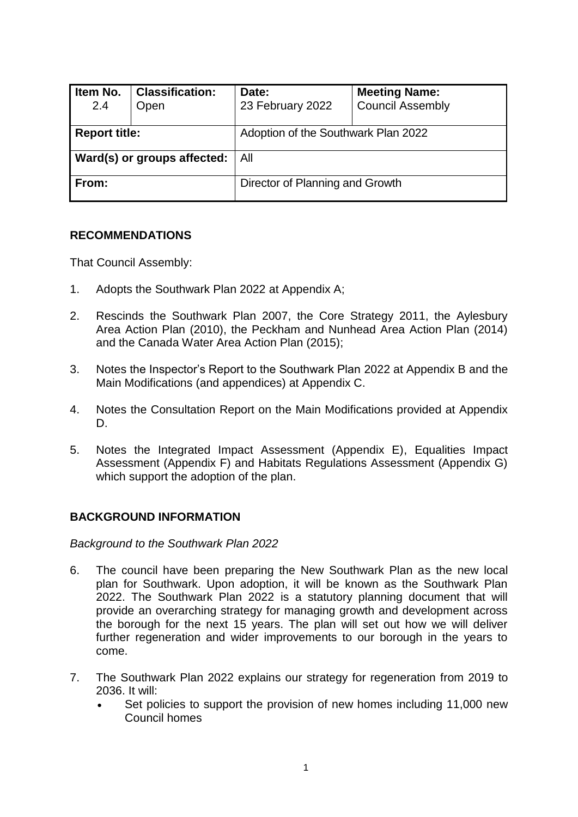| Item No.<br>2.4                    | <b>Classification:</b><br>Open | Date:<br>23 February 2022           | <b>Meeting Name:</b><br><b>Council Assembly</b> |
|------------------------------------|--------------------------------|-------------------------------------|-------------------------------------------------|
| <b>Report title:</b>               |                                | Adoption of the Southwark Plan 2022 |                                                 |
| <b>Ward(s) or groups affected:</b> |                                | All                                 |                                                 |
| From:                              |                                | Director of Planning and Growth     |                                                 |

## **RECOMMENDATIONS**

That Council Assembly:

- 1. Adopts the Southwark Plan 2022 at Appendix A;
- 2. Rescinds the Southwark Plan 2007, the Core Strategy 2011, the Aylesbury Area Action Plan (2010), the Peckham and Nunhead Area Action Plan (2014) and the Canada Water Area Action Plan (2015);
- 3. Notes the Inspector's Report to the Southwark Plan 2022 at Appendix B and the Main Modifications (and appendices) at Appendix C.
- 4. Notes the Consultation Report on the Main Modifications provided at Appendix D.
- 5. Notes the Integrated Impact Assessment (Appendix E), Equalities Impact Assessment (Appendix F) and Habitats Regulations Assessment (Appendix G) which support the adoption of the plan.

## **BACKGROUND INFORMATION**

*Background to the Southwark Plan 2022*

- 6. The council have been preparing the New Southwark Plan as the new local plan for Southwark. Upon adoption, it will be known as the Southwark Plan 2022. The Southwark Plan 2022 is a statutory planning document that will provide an overarching strategy for managing growth and development across the borough for the next 15 years. The plan will set out how we will deliver further regeneration and wider improvements to our borough in the years to come.
- 7. The Southwark Plan 2022 explains our strategy for regeneration from 2019 to 2036. It will:
	- Set policies to support the provision of new homes including 11,000 new Council homes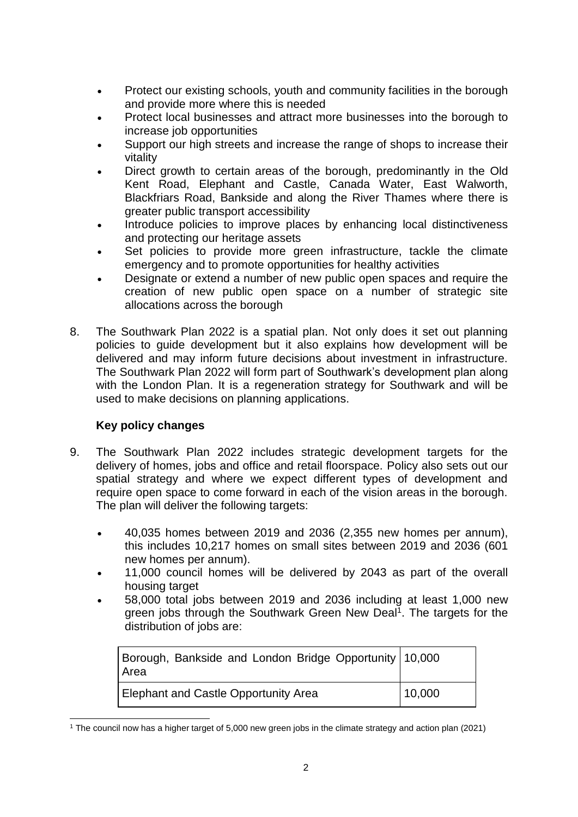- Protect our existing schools, youth and community facilities in the borough and provide more where this is needed
- Protect local businesses and attract more businesses into the borough to increase job opportunities
- Support our high streets and increase the range of shops to increase their vitality
- Direct growth to certain areas of the borough, predominantly in the Old Kent Road, Elephant and Castle, Canada Water, East Walworth, Blackfriars Road, Bankside and along the River Thames where there is greater public transport accessibility
- Introduce policies to improve places by enhancing local distinctiveness and protecting our heritage assets
- Set policies to provide more green infrastructure, tackle the climate emergency and to promote opportunities for healthy activities
- Designate or extend a number of new public open spaces and require the creation of new public open space on a number of strategic site allocations across the borough
- 8. The Southwark Plan 2022 is a spatial plan. Not only does it set out planning policies to guide development but it also explains how development will be delivered and may inform future decisions about investment in infrastructure. The Southwark Plan 2022 will form part of Southwark's development plan along with the London Plan. It is a regeneration strategy for Southwark and will be used to make decisions on planning applications.

## **Key policy changes**

- 9. The Southwark Plan 2022 includes strategic development targets for the delivery of homes, jobs and office and retail floorspace. Policy also sets out our spatial strategy and where we expect different types of development and require open space to come forward in each of the vision areas in the borough. The plan will deliver the following targets:
	- 40,035 homes between 2019 and 2036 (2,355 new homes per annum), this includes 10,217 homes on small sites between 2019 and 2036 (601 new homes per annum).
	- 11,000 council homes will be delivered by 2043 as part of the overall housing target
	- 58,000 total jobs between 2019 and 2036 including at least 1,000 new green jobs through the Southwark Green New Deal<sup>1</sup>. The targets for the distribution of jobs are:

| Borough, Bankside and London Bridge Opportunity 10,000<br>Area |        |
|----------------------------------------------------------------|--------|
| <b>Elephant and Castle Opportunity Area</b>                    | 10,000 |

<sup>1</sup> <sup>1</sup> The council now has a higher target of 5,000 new green jobs in the climate strategy and action plan (2021)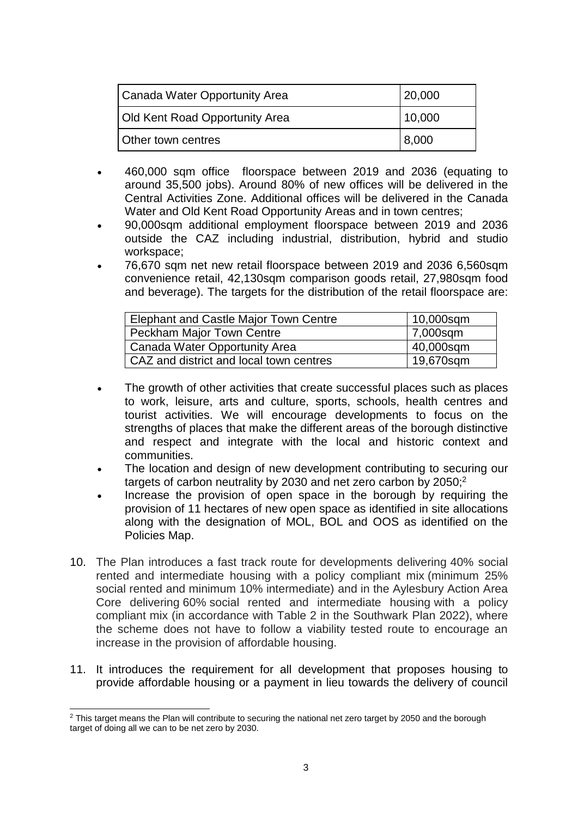| Canada Water Opportunity Area         | 20,000 |  |
|---------------------------------------|--------|--|
| <b>Old Kent Road Opportunity Area</b> | 10,000 |  |
| Other town centres                    | 8,000  |  |

- 460,000 sqm office floorspace between 2019 and 2036 (equating to around 35,500 jobs). Around 80% of new offices will be delivered in the Central Activities Zone. Additional offices will be delivered in the Canada Water and Old Kent Road Opportunity Areas and in town centres;
- 90,000sqm additional employment floorspace between 2019 and 2036 outside the CAZ including industrial, distribution, hybrid and studio workspace;
- 76,670 sqm net new retail floorspace between 2019 and 2036 6,560sqm convenience retail, 42,130sqm comparison goods retail, 27,980sqm food and beverage). The targets for the distribution of the retail floorspace are:

| Elephant and Castle Major Town Centre   | 10,000sqm |
|-----------------------------------------|-----------|
| <b>Peckham Major Town Centre</b>        | 7,000sqm  |
| Canada Water Opportunity Area           | 40,000sqm |
| CAZ and district and local town centres | 19,670sqm |

- The growth of other activities that create successful places such as places to work, leisure, arts and culture, sports, schools, health centres and tourist activities. We will encourage developments to focus on the strengths of places that make the different areas of the borough distinctive and respect and integrate with the local and historic context and communities.
- The location and design of new development contributing to securing our targets of carbon neutrality by 2030 and net zero carbon by  $2050<sup>2</sup>$
- Increase the provision of open space in the borough by requiring the provision of 11 hectares of new open space as identified in site allocations along with the designation of MOL, BOL and OOS as identified on the Policies Map.
- 10. The Plan introduces a fast track route for developments delivering 40% social rented and intermediate housing with a policy compliant mix (minimum 25% social rented and minimum 10% intermediate) and in the Aylesbury Action Area Core delivering 60% social rented and intermediate housing with a policy compliant mix (in accordance with Table 2 in the Southwark Plan 2022), where the scheme does not have to follow a viability tested route to encourage an increase in the provision of affordable housing.
- 11. It introduces the requirement for all development that proposes housing to provide affordable housing or a payment in lieu towards the delivery of council

<sup>1</sup>  $2$  This target means the Plan will contribute to securing the national net zero target by 2050 and the borough target of doing all we can to be net zero by 2030.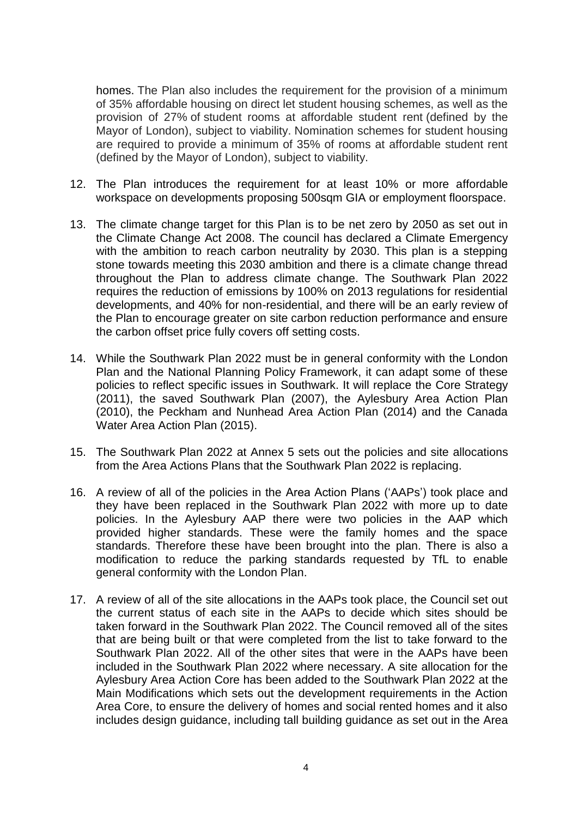homes. The Plan also includes the requirement for the provision of a minimum of 35% affordable housing on direct let student housing schemes, as well as the provision of 27% of student rooms at affordable student rent (defined by the Mayor of London), subject to viability. Nomination schemes for student housing are required to provide a minimum of 35% of rooms at affordable student rent (defined by the Mayor of London), subject to viability.

- 12. The Plan introduces the requirement for at least 10% or more affordable workspace on developments proposing 500sqm GIA or employment floorspace.
- 13. The climate change target for this Plan is to be net zero by 2050 as set out in the Climate Change Act 2008. The council has declared a Climate Emergency with the ambition to reach carbon neutrality by 2030. This plan is a stepping stone towards meeting this 2030 ambition and there is a climate change thread throughout the Plan to address climate change. The Southwark Plan 2022 requires the reduction of emissions by 100% on 2013 regulations for residential developments, and 40% for non-residential, and there will be an early review of the Plan to encourage greater on site carbon reduction performance and ensure the carbon offset price fully covers off setting costs.
- 14. While the Southwark Plan 2022 must be in general conformity with the London Plan and the National Planning Policy Framework, it can adapt some of these policies to reflect specific issues in Southwark. It will replace the Core Strategy (2011), the saved Southwark Plan (2007), the Aylesbury Area Action Plan (2010), the Peckham and Nunhead Area Action Plan (2014) and the Canada Water Area Action Plan (2015).
- 15. The Southwark Plan 2022 at Annex 5 sets out the policies and site allocations from the Area Actions Plans that the Southwark Plan 2022 is replacing.
- 16. A review of all of the policies in the Area Action Plans ('AAPs') took place and they have been replaced in the Southwark Plan 2022 with more up to date policies. In the Aylesbury AAP there were two policies in the AAP which provided higher standards. These were the family homes and the space standards. Therefore these have been brought into the plan. There is also a modification to reduce the parking standards requested by TfL to enable general conformity with the London Plan.
- 17. A review of all of the site allocations in the AAPs took place, the Council set out the current status of each site in the AAPs to decide which sites should be taken forward in the Southwark Plan 2022. The Council removed all of the sites that are being built or that were completed from the list to take forward to the Southwark Plan 2022. All of the other sites that were in the AAPs have been included in the Southwark Plan 2022 where necessary. A site allocation for the Aylesbury Area Action Core has been added to the Southwark Plan 2022 at the Main Modifications which sets out the development requirements in the Action Area Core, to ensure the delivery of homes and social rented homes and it also includes design guidance, including tall building guidance as set out in the Area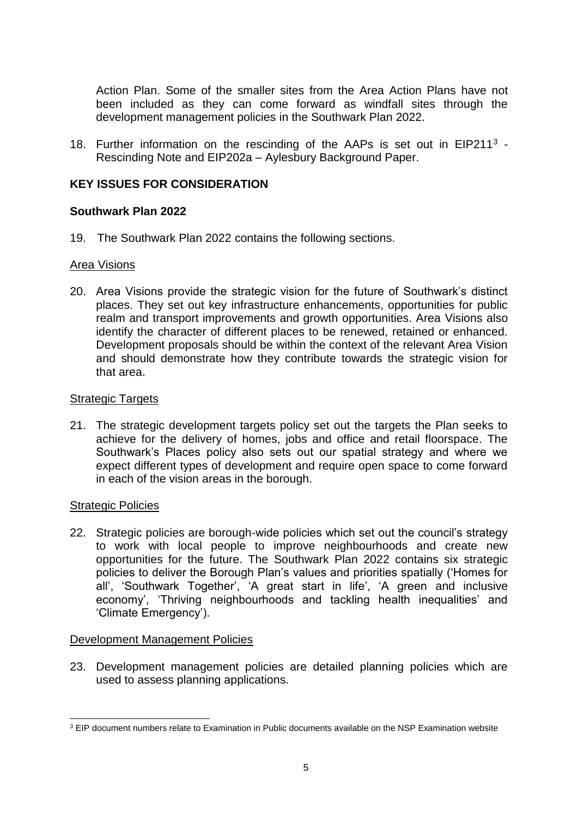Action Plan. Some of the smaller sites from the Area Action Plans have not been included as they can come forward as windfall sites through the development management policies in the Southwark Plan 2022.

18. Further information on the rescinding of the AAPs is set out in EIP211<sup>3</sup> -Rescinding Note and EIP202a – Aylesbury Background Paper.

## **KEY ISSUES FOR CONSIDERATION**

## **Southwark Plan 2022**

19. The Southwark Plan 2022 contains the following sections.

## Area Visions

20. Area Visions provide the strategic vision for the future of Southwark's distinct places. They set out key infrastructure enhancements, opportunities for public realm and transport improvements and growth opportunities. Area Visions also identify the character of different places to be renewed, retained or enhanced. Development proposals should be within the context of the relevant Area Vision and should demonstrate how they contribute towards the strategic vision for that area.

## Strategic Targets

21. The strategic development targets policy set out the targets the Plan seeks to achieve for the delivery of homes, jobs and office and retail floorspace. The Southwark's Places policy also sets out our spatial strategy and where we expect different types of development and require open space to come forward in each of the vision areas in the borough.

## Strategic Policies

22. Strategic policies are borough-wide policies which set out the council's strategy to work with local people to improve neighbourhoods and create new opportunities for the future. The Southwark Plan 2022 contains six strategic policies to deliver the Borough Plan's values and priorities spatially ('Homes for all', 'Southwark Together', 'A great start in life', 'A green and inclusive economy', 'Thriving neighbourhoods and tackling health inequalities' and 'Climate Emergency').

## Development Management Policies

23. Development management policies are detailed planning policies which are used to assess planning applications.

<sup>1</sup>  $3$  EIP document numbers relate to Examination in Public documents available on the NSP Examination website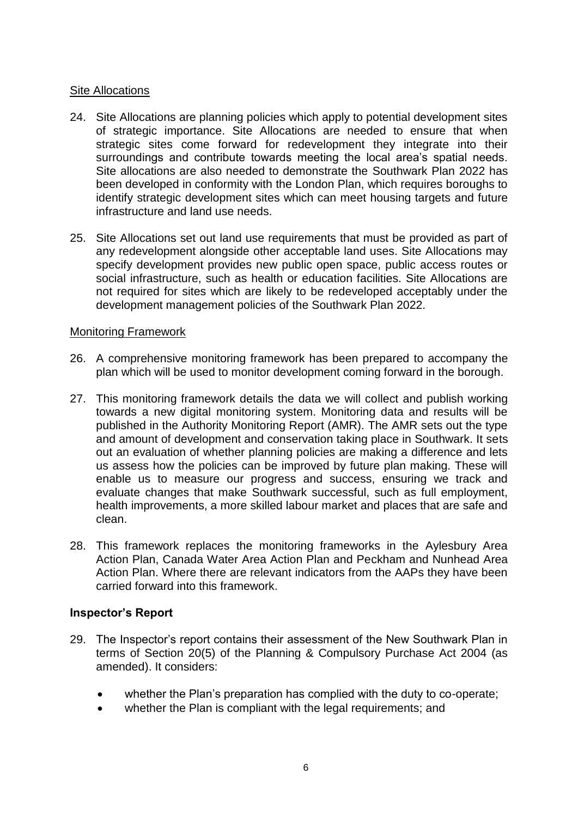#### Site Allocations

- 24. Site Allocations are planning policies which apply to potential development sites of strategic importance. Site Allocations are needed to ensure that when strategic sites come forward for redevelopment they integrate into their surroundings and contribute towards meeting the local area's spatial needs. Site allocations are also needed to demonstrate the Southwark Plan 2022 has been developed in conformity with the London Plan, which requires boroughs to identify strategic development sites which can meet housing targets and future infrastructure and land use needs.
- 25. Site Allocations set out land use requirements that must be provided as part of any redevelopment alongside other acceptable land uses. Site Allocations may specify development provides new public open space, public access routes or social infrastructure, such as health or education facilities. Site Allocations are not required for sites which are likely to be redeveloped acceptably under the development management policies of the Southwark Plan 2022.

#### Monitoring Framework

- 26. A comprehensive monitoring framework has been prepared to accompany the plan which will be used to monitor development coming forward in the borough.
- 27. This monitoring framework details the data we will collect and publish working towards a new digital monitoring system. Monitoring data and results will be published in the Authority Monitoring Report (AMR). The AMR sets out the type and amount of development and conservation taking place in Southwark. It sets out an evaluation of whether planning policies are making a difference and lets us assess how the policies can be improved by future plan making. These will enable us to measure our progress and success, ensuring we track and evaluate changes that make Southwark successful, such as full employment, health improvements, a more skilled labour market and places that are safe and clean.
- 28. This framework replaces the monitoring frameworks in the Aylesbury Area Action Plan, Canada Water Area Action Plan and Peckham and Nunhead Area Action Plan. Where there are relevant indicators from the AAPs they have been carried forward into this framework.

## **Inspector's Report**

- 29. The Inspector's report contains their assessment of the New Southwark Plan in terms of Section 20(5) of the Planning & Compulsory Purchase Act 2004 (as amended). It considers:
	- whether the Plan's preparation has complied with the duty to co-operate;
	- whether the Plan is compliant with the legal requirements; and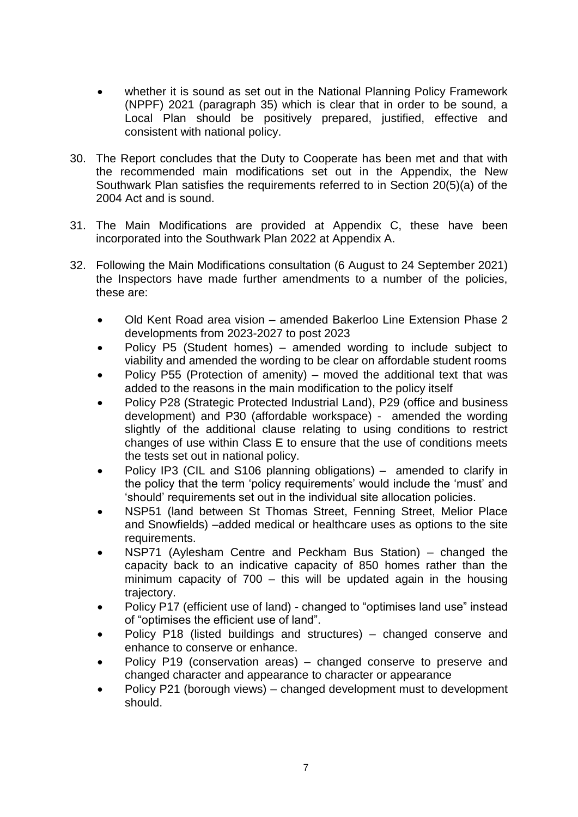- whether it is sound as set out in the National Planning Policy Framework (NPPF) 2021 (paragraph 35) which is clear that in order to be sound, a Local Plan should be positively prepared, justified, effective and consistent with national policy.
- 30. The Report concludes that the Duty to Cooperate has been met and that with the recommended main modifications set out in the Appendix, the New Southwark Plan satisfies the requirements referred to in Section 20(5)(a) of the 2004 Act and is sound.
- 31. The Main Modifications are provided at Appendix C, these have been incorporated into the Southwark Plan 2022 at Appendix A.
- 32. Following the Main Modifications consultation (6 August to 24 September 2021) the Inspectors have made further amendments to a number of the policies, these are:
	- Old Kent Road area vision amended Bakerloo Line Extension Phase 2 developments from 2023-2027 to post 2023
	- Policy P5 (Student homes) amended wording to include subject to viability and amended the wording to be clear on affordable student rooms
	- Policy P55 (Protection of amenity) moved the additional text that was added to the reasons in the main modification to the policy itself
	- Policy P28 (Strategic Protected Industrial Land), P29 (office and business development) and P30 (affordable workspace) - amended the wording slightly of the additional clause relating to using conditions to restrict changes of use within Class E to ensure that the use of conditions meets the tests set out in national policy.
	- Policy IP3 (CIL and S106 planning obligations) amended to clarify in the policy that the term 'policy requirements' would include the 'must' and 'should' requirements set out in the individual site allocation policies.
	- NSP51 (land between St Thomas Street, Fenning Street, Melior Place and Snowfields) –added medical or healthcare uses as options to the site requirements.
	- NSP71 (Aylesham Centre and Peckham Bus Station) changed the capacity back to an indicative capacity of 850 homes rather than the minimum capacity of 700 – this will be updated again in the housing trajectory.
	- Policy P17 (efficient use of land) changed to "optimises land use" instead of "optimises the efficient use of land".
	- Policy P18 (listed buildings and structures) changed conserve and enhance to conserve or enhance.
	- Policy P19 (conservation areas) changed conserve to preserve and changed character and appearance to character or appearance
	- Policy P21 (borough views) changed development must to development should.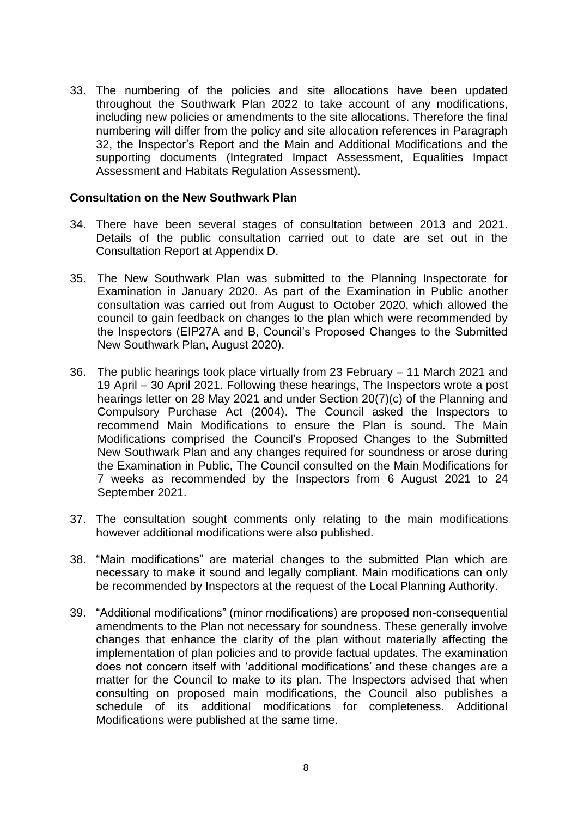33. The numbering of the policies and site allocations have been updated throughout the Southwark Plan 2022 to take account of any modifications, including new policies or amendments to the site allocations. Therefore the final numbering will differ from the policy and site allocation references in Paragraph 32, the Inspector's Report and the Main and Additional Modifications and the supporting documents (Integrated Impact Assessment, Equalities Impact Assessment and Habitats Regulation Assessment).

#### **Consultation on the New Southwark Plan**

- 34. There have been several stages of consultation between 2013 and 2021. Details of the public consultation carried out to date are set out in the Consultation Report at Appendix D.
- 35. The New Southwark Plan was submitted to the Planning Inspectorate for Examination in January 2020. As part of the Examination in Public another consultation was carried out from August to October 2020, which allowed the council to gain feedback on changes to the plan which were recommended by the Inspectors (EIP27A and B, Council's Proposed Changes to the Submitted New Southwark Plan, August 2020).
- 36. The public hearings took place virtually from 23 February 11 March 2021 and 19 April – 30 April 2021. Following these hearings, The Inspectors wrote a post hearings letter on 28 May 2021 and under Section 20(7)(c) of the Planning and Compulsory Purchase Act (2004). The Council asked the Inspectors to recommend Main Modifications to ensure the Plan is sound. The Main Modifications comprised the Council's Proposed Changes to the Submitted New Southwark Plan and any changes required for soundness or arose during the Examination in Public, The Council consulted on the Main Modifications for 7 weeks as recommended by the Inspectors from 6 August 2021 to 24 September 2021.
- 37. The consultation sought comments only relating to the main modifications however additional modifications were also published.
- 38. "Main modifications" are material changes to the submitted Plan which are necessary to make it sound and legally compliant. Main modifications can only be recommended by Inspectors at the request of the Local Planning Authority.
- 39. "Additional modifications" (minor modifications) are proposed non-consequential amendments to the Plan not necessary for soundness. These generally involve changes that enhance the clarity of the plan without materially affecting the implementation of plan policies and to provide factual updates. The examination does not concern itself with 'additional modifications' and these changes are a matter for the Council to make to its plan. The Inspectors advised that when consulting on proposed main modifications, the Council also publishes a schedule of its additional modifications for completeness. Additional Modifications were published at the same time.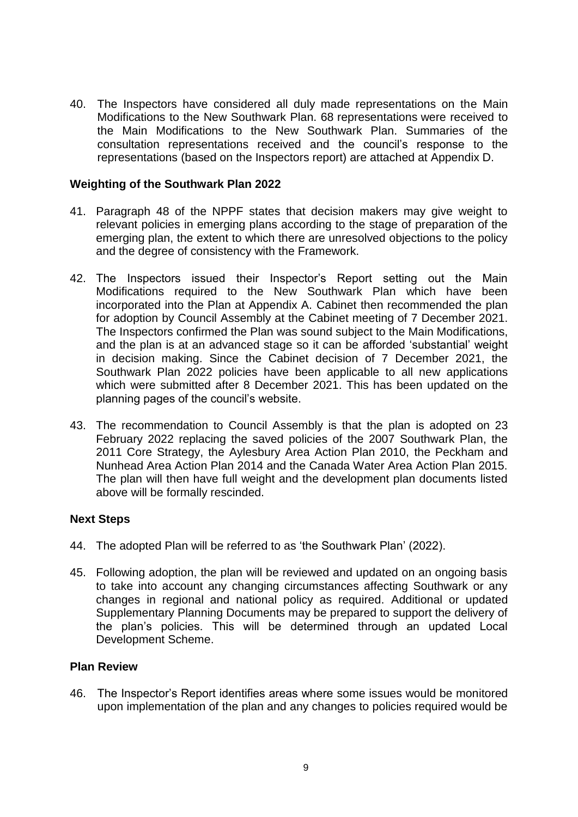40. The Inspectors have considered all duly made representations on the Main Modifications to the New Southwark Plan. 68 representations were received to the Main Modifications to the New Southwark Plan. Summaries of the consultation representations received and the council's response to the representations (based on the Inspectors report) are attached at Appendix D.

#### **Weighting of the Southwark Plan 2022**

- 41. Paragraph 48 of the NPPF states that decision makers may give weight to relevant policies in emerging plans according to the stage of preparation of the emerging plan, the extent to which there are unresolved objections to the policy and the degree of consistency with the Framework.
- 42. The Inspectors issued their Inspector's Report setting out the Main Modifications required to the New Southwark Plan which have been incorporated into the Plan at Appendix A. Cabinet then recommended the plan for adoption by Council Assembly at the Cabinet meeting of 7 December 2021. The Inspectors confirmed the Plan was sound subject to the Main Modifications, and the plan is at an advanced stage so it can be afforded 'substantial' weight in decision making. Since the Cabinet decision of 7 December 2021, the Southwark Plan 2022 policies have been applicable to all new applications which were submitted after 8 December 2021. This has been updated on the planning pages of the council's website.
- 43. The recommendation to Council Assembly is that the plan is adopted on 23 February 2022 replacing the saved policies of the 2007 Southwark Plan, the 2011 Core Strategy, the Aylesbury Area Action Plan 2010, the Peckham and Nunhead Area Action Plan 2014 and the Canada Water Area Action Plan 2015. The plan will then have full weight and the development plan documents listed above will be formally rescinded.

## **Next Steps**

- 44. The adopted Plan will be referred to as 'the Southwark Plan' (2022).
- 45. Following adoption, the plan will be reviewed and updated on an ongoing basis to take into account any changing circumstances affecting Southwark or any changes in regional and national policy as required. Additional or updated Supplementary Planning Documents may be prepared to support the delivery of the plan's policies. This will be determined through an updated Local Development Scheme.

## **Plan Review**

46. The Inspector's Report identifies areas where some issues would be monitored upon implementation of the plan and any changes to policies required would be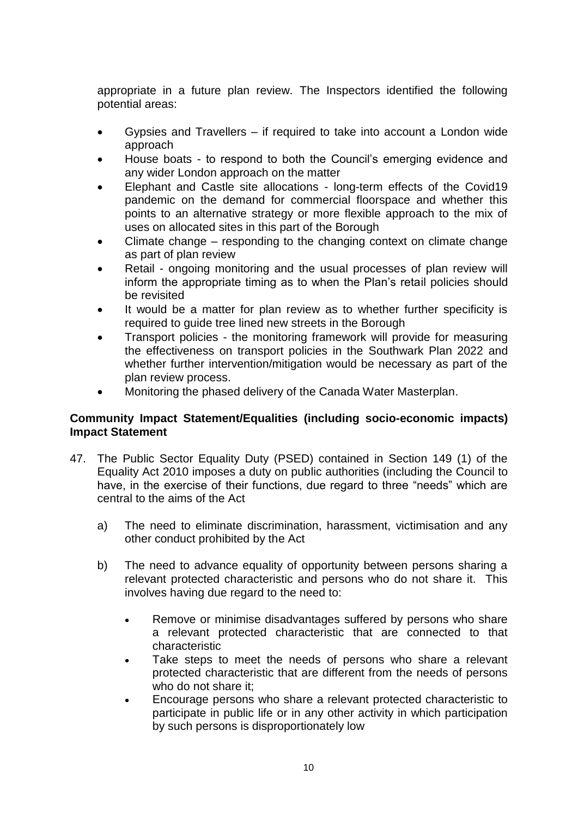appropriate in a future plan review. The Inspectors identified the following potential areas:

- Gypsies and Travellers if required to take into account a London wide approach
- House boats to respond to both the Council's emerging evidence and any wider London approach on the matter
- Elephant and Castle site allocations long-term effects of the Covid19 pandemic on the demand for commercial floorspace and whether this points to an alternative strategy or more flexible approach to the mix of uses on allocated sites in this part of the Borough
- Climate change responding to the changing context on climate change as part of plan review
- Retail ongoing monitoring and the usual processes of plan review will inform the appropriate timing as to when the Plan's retail policies should be revisited
- It would be a matter for plan review as to whether further specificity is required to guide tree lined new streets in the Borough
- Transport policies the monitoring framework will provide for measuring the effectiveness on transport policies in the Southwark Plan 2022 and whether further intervention/mitigation would be necessary as part of the plan review process.
- Monitoring the phased delivery of the Canada Water Masterplan.

## **Community Impact Statement/Equalities (including socio-economic impacts) Impact Statement**

- 47. The Public Sector Equality Duty (PSED) contained in Section 149 (1) of the Equality Act 2010 imposes a duty on public authorities (including the Council to have, in the exercise of their functions, due regard to three "needs" which are central to the aims of the Act
	- a) The need to eliminate discrimination, harassment, victimisation and any other conduct prohibited by the Act
	- b) The need to advance equality of opportunity between persons sharing a relevant protected characteristic and persons who do not share it. This involves having due regard to the need to:
		- Remove or minimise disadvantages suffered by persons who share a relevant protected characteristic that are connected to that characteristic
		- Take steps to meet the needs of persons who share a relevant protected characteristic that are different from the needs of persons who do not share it;
		- Encourage persons who share a relevant protected characteristic to participate in public life or in any other activity in which participation by such persons is disproportionately low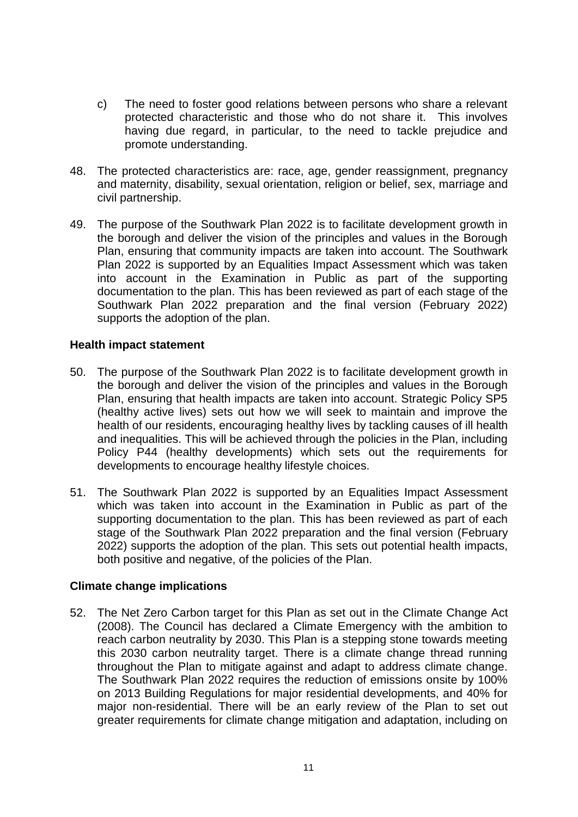- c) The need to foster good relations between persons who share a relevant protected characteristic and those who do not share it. This involves having due regard, in particular, to the need to tackle prejudice and promote understanding.
- 48. The protected characteristics are: race, age, gender reassignment, pregnancy and maternity, disability, sexual orientation, religion or belief, sex, marriage and civil partnership.
- 49. The purpose of the Southwark Plan 2022 is to facilitate development growth in the borough and deliver the vision of the principles and values in the Borough Plan, ensuring that community impacts are taken into account. The Southwark Plan 2022 is supported by an Equalities Impact Assessment which was taken into account in the Examination in Public as part of the supporting documentation to the plan. This has been reviewed as part of each stage of the Southwark Plan 2022 preparation and the final version (February 2022) supports the adoption of the plan.

#### **Health impact statement**

- 50. The purpose of the Southwark Plan 2022 is to facilitate development growth in the borough and deliver the vision of the principles and values in the Borough Plan, ensuring that health impacts are taken into account. Strategic Policy SP5 (healthy active lives) sets out how we will seek to maintain and improve the health of our residents, encouraging healthy lives by tackling causes of ill health and inequalities. This will be achieved through the policies in the Plan, including Policy P44 (healthy developments) which sets out the requirements for developments to encourage healthy lifestyle choices.
- 51. The Southwark Plan 2022 is supported by an Equalities Impact Assessment which was taken into account in the Examination in Public as part of the supporting documentation to the plan. This has been reviewed as part of each stage of the Southwark Plan 2022 preparation and the final version (February 2022) supports the adoption of the plan. This sets out potential health impacts, both positive and negative, of the policies of the Plan.

## **Climate change implications**

52. The Net Zero Carbon target for this Plan as set out in the Climate Change Act (2008). The Council has declared a Climate Emergency with the ambition to reach carbon neutrality by 2030. This Plan is a stepping stone towards meeting this 2030 carbon neutrality target. There is a climate change thread running throughout the Plan to mitigate against and adapt to address climate change. The Southwark Plan 2022 requires the reduction of emissions onsite by 100% on 2013 Building Regulations for major residential developments, and 40% for major non-residential. There will be an early review of the Plan to set out greater requirements for climate change mitigation and adaptation, including on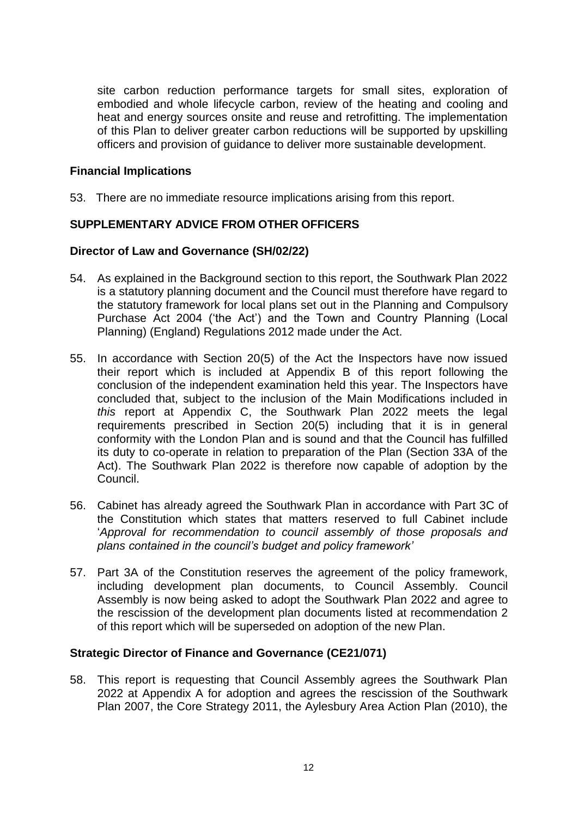site carbon reduction performance targets for small sites, exploration of embodied and whole lifecycle carbon, review of the heating and cooling and heat and energy sources onsite and reuse and retrofitting. The implementation of this Plan to deliver greater carbon reductions will be supported by upskilling officers and provision of guidance to deliver more sustainable development.

#### **Financial Implications**

53. There are no immediate resource implications arising from this report.

## **SUPPLEMENTARY ADVICE FROM OTHER OFFICERS**

#### **Director of Law and Governance (SH/02/22)**

- 54. As explained in the Background section to this report, the Southwark Plan 2022 is a statutory planning document and the Council must therefore have regard to the statutory framework for local plans set out in the Planning and Compulsory Purchase Act 2004 ('the Act') and the Town and Country Planning (Local Planning) (England) Regulations 2012 made under the Act.
- 55. In accordance with Section 20(5) of the Act the Inspectors have now issued their report which is included at Appendix B of this report following the conclusion of the independent examination held this year. The Inspectors have concluded that, subject to the inclusion of the Main Modifications included in *this* report at Appendix C, the Southwark Plan 2022 meets the legal requirements prescribed in Section 20(5) including that it is in general conformity with the London Plan and is sound and that the Council has fulfilled its duty to co-operate in relation to preparation of the Plan (Section 33A of the Act). The Southwark Plan 2022 is therefore now capable of adoption by the Council.
- 56. Cabinet has already agreed the Southwark Plan in accordance with Part 3C of the Constitution which states that matters reserved to full Cabinet include '*Approval for recommendation to council assembly of those proposals and plans contained in the council's budget and policy framework'*
- 57. Part 3A of the Constitution reserves the agreement of the policy framework, including development plan documents, to Council Assembly. Council Assembly is now being asked to adopt the Southwark Plan 2022 and agree to the rescission of the development plan documents listed at recommendation 2 of this report which will be superseded on adoption of the new Plan.

#### **Strategic Director of Finance and Governance (CE21/071)**

58. This report is requesting that Council Assembly agrees the Southwark Plan 2022 at Appendix A for adoption and agrees the rescission of the Southwark Plan 2007, the Core Strategy 2011, the Aylesbury Area Action Plan (2010), the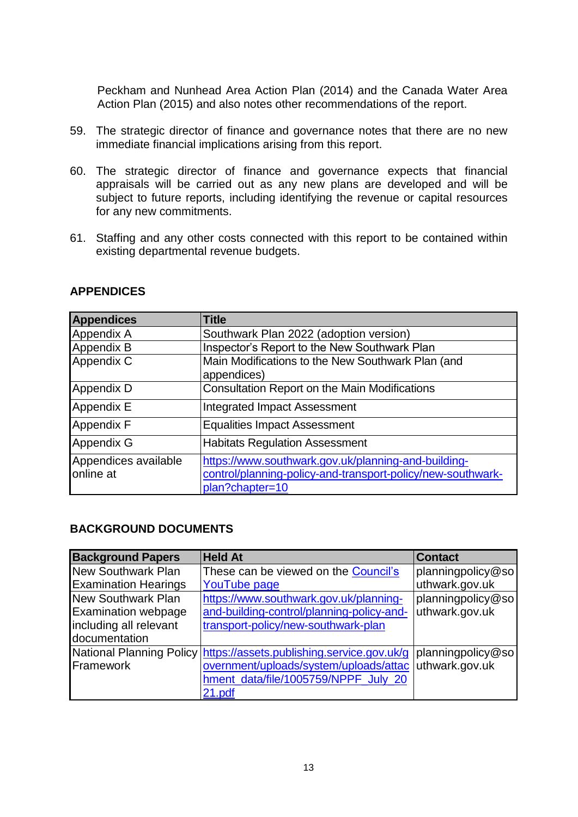Peckham and Nunhead Area Action Plan (2014) and the Canada Water Area Action Plan (2015) and also notes other recommendations of the report.

- 59. The strategic director of finance and governance notes that there are no new immediate financial implications arising from this report.
- 60. The strategic director of finance and governance expects that financial appraisals will be carried out as any new plans are developed and will be subject to future reports, including identifying the revenue or capital resources for any new commitments.
- 61. Staffing and any other costs connected with this report to be contained within existing departmental revenue budgets.

| <b>Appendices</b>                 | <b>Title</b>                                                                                                                          |
|-----------------------------------|---------------------------------------------------------------------------------------------------------------------------------------|
| Appendix A                        | Southwark Plan 2022 (adoption version)                                                                                                |
| Appendix B                        | Inspector's Report to the New Southwark Plan                                                                                          |
| Appendix C                        | Main Modifications to the New Southwark Plan (and<br>appendices)                                                                      |
| Appendix D                        | <b>Consultation Report on the Main Modifications</b>                                                                                  |
| Appendix E                        | <b>Integrated Impact Assessment</b>                                                                                                   |
| <b>Appendix F</b>                 | <b>Equalities Impact Assessment</b>                                                                                                   |
| Appendix G                        | <b>Habitats Regulation Assessment</b>                                                                                                 |
| Appendices available<br>online at | https://www.southwark.gov.uk/planning-and-building-<br>control/planning-policy-and-transport-policy/new-southwark-<br>plan?chapter=10 |

## **APPENDICES**

## **BACKGROUND DOCUMENTS**

| <b>Background Papers</b>    | <b>Held At</b>                                                                         | <b>Contact</b>        |
|-----------------------------|----------------------------------------------------------------------------------------|-----------------------|
| <b>New Southwark Plan</b>   | These can be viewed on the Council's                                                   | planningpolicy@so     |
| <b>Examination Hearings</b> | <b>YouTube page</b>                                                                    | uthwark.gov.uk        |
| <b>New Southwark Plan</b>   | https://www.southwark.gov.uk/planning-                                                 | $ $ planningpolicy@so |
| <b>Examination webpage</b>  | and-building-control/planning-policy-and-                                              | uthwark.gov.uk        |
| including all relevant      | transport-policy/new-southwark-plan                                                    |                       |
| documentation               |                                                                                        |                       |
|                             | National Planning Policy https://assets.publishing.service.gov.uk/g  planningpolicy@so |                       |
| <b>IFramework</b>           | overnment/uploads/system/uploads/attac uthwark.gov.uk                                  |                       |
|                             | hment_data/file/1005759/NPPF_July_20                                                   |                       |
|                             | 21.pdf                                                                                 |                       |